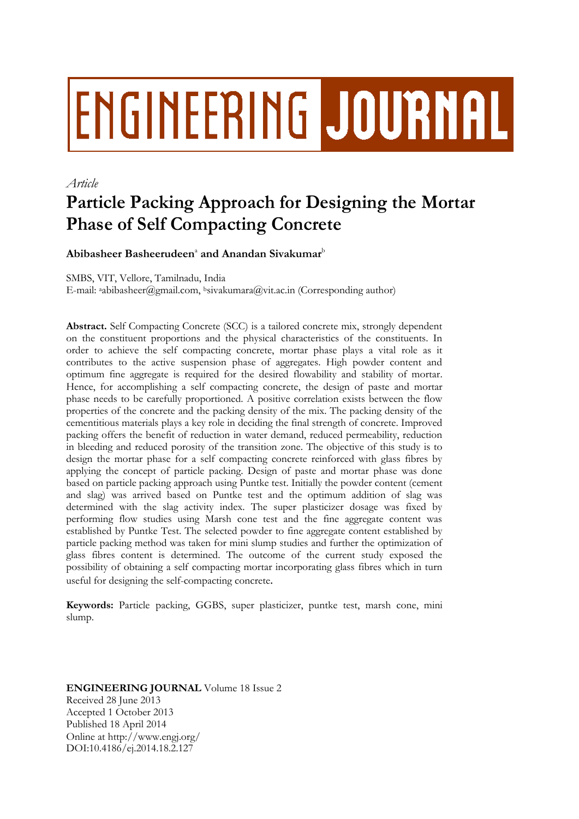# ENGINEERING JOURNAL

# *Article*

# **Particle Packing Approach for Designing the Mortar Phase of Self Compacting Concrete**

**Abibasheer Basheerudeen**<sup>a</sup> **and Anandan Sivakumar**<sup>b</sup>

SMBS, VIT, Vellore, Tamilnadu, India

E-mail: aabibasheer@gmail.com, bsivakumara@vit.ac.in (Corresponding author)

**Abstract.** Self Compacting Concrete (SCC) is a tailored concrete mix, strongly dependent on the constituent proportions and the physical characteristics of the constituents. In order to achieve the self compacting concrete, mortar phase plays a vital role as it contributes to the active suspension phase of aggregates. High powder content and optimum fine aggregate is required for the desired flowability and stability of mortar. Hence, for accomplishing a self compacting concrete, the design of paste and mortar phase needs to be carefully proportioned. A positive correlation exists between the flow properties of the concrete and the packing density of the mix. The packing density of the cementitious materials plays a key role in deciding the final strength of concrete. Improved packing offers the benefit of reduction in water demand, reduced permeability, reduction in bleeding and reduced porosity of the transition zone. The objective of this study is to design the mortar phase for a self compacting concrete reinforced with glass fibres by applying the concept of particle packing. Design of paste and mortar phase was done based on particle packing approach using Puntke test. Initially the powder content (cement and slag) was arrived based on Puntke test and the optimum addition of slag was determined with the slag activity index. The super plasticizer dosage was fixed by performing flow studies using Marsh cone test and the fine aggregate content was established by Puntke Test. The selected powder to fine aggregate content established by particle packing method was taken for mini slump studies and further the optimization of glass fibres content is determined. The outcome of the current study exposed the possibility of obtaining a self compacting mortar incorporating glass fibres which in turn useful for designing the self-compacting concrete.

**Keywords:** Particle packing, GGBS, super plasticizer, puntke test, marsh cone, mini slump.

**ENGINEERING JOURNAL** Volume 18 Issue 2 Received 28 June 2013 Accepted 1 October 2013 Published 18 April 2014 Online at http://www.engj.org/ DOI:10.4186/ej.2014.18.2.127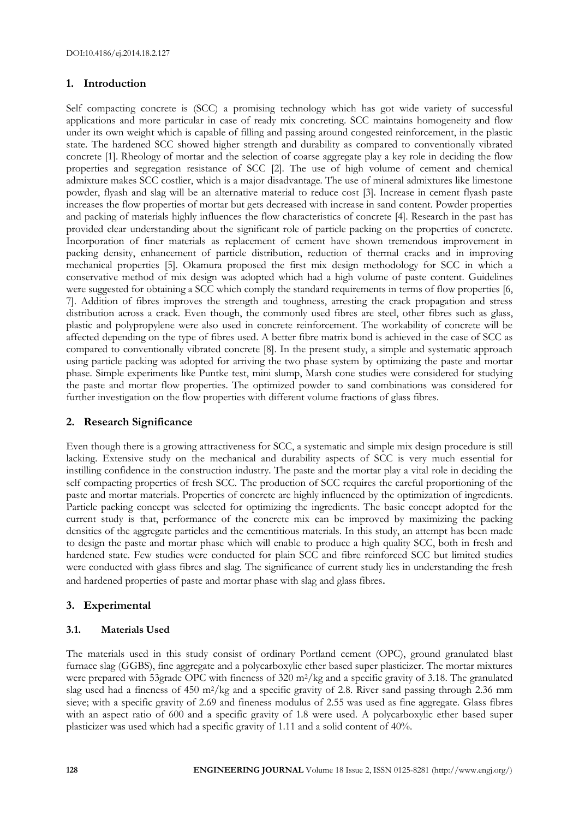# **1. Introduction**

Self compacting concrete is (SCC) a promising technology which has got wide variety of successful applications and more particular in case of ready mix concreting. SCC maintains homogeneity and flow under its own weight which is capable of filling and passing around congested reinforcement, in the plastic state. The hardened SCC showed higher strength and durability as compared to conventionally vibrated concrete [1]. Rheology of mortar and the selection of coarse aggregate play a key role in deciding the flow properties and segregation resistance of SCC [2]. The use of high volume of cement and chemical admixture makes SCC costlier, which is a major disadvantage. The use of mineral admixtures like limestone powder, flyash and slag will be an alternative material to reduce cost [3]. Increase in cement flyash paste increases the flow properties of mortar but gets decreased with increase in sand content. Powder properties and packing of materials highly influences the flow characteristics of concrete [4]. Research in the past has provided clear understanding about the significant role of particle packing on the properties of concrete. Incorporation of finer materials as replacement of cement have shown tremendous improvement in packing density, enhancement of particle distribution, reduction of thermal cracks and in improving mechanical properties [5]. Okamura proposed the first mix design methodology for SCC in which a conservative method of mix design was adopted which had a high volume of paste content. Guidelines were suggested for obtaining a SCC which comply the standard requirements in terms of flow properties [6, 7]. Addition of fibres improves the strength and toughness, arresting the crack propagation and stress distribution across a crack. Even though, the commonly used fibres are steel, other fibres such as glass, plastic and polypropylene were also used in concrete reinforcement. The workability of concrete will be affected depending on the type of fibres used. A better fibre matrix bond is achieved in the case of SCC as compared to conventionally vibrated concrete [8]. In the present study, a simple and systematic approach using particle packing was adopted for arriving the two phase system by optimizing the paste and mortar phase. Simple experiments like Puntke test, mini slump, Marsh cone studies were considered for studying the paste and mortar flow properties. The optimized powder to sand combinations was considered for further investigation on the flow properties with different volume fractions of glass fibres.

#### **2. Research Significance**

Even though there is a growing attractiveness for SCC, a systematic and simple mix design procedure is still lacking. Extensive study on the mechanical and durability aspects of SCC is very much essential for instilling confidence in the construction industry. The paste and the mortar play a vital role in deciding the self compacting properties of fresh SCC. The production of SCC requires the careful proportioning of the paste and mortar materials. Properties of concrete are highly influenced by the optimization of ingredients. Particle packing concept was selected for optimizing the ingredients. The basic concept adopted for the current study is that, performance of the concrete mix can be improved by maximizing the packing densities of the aggregate particles and the cementitious materials. In this study, an attempt has been made to design the paste and mortar phase which will enable to produce a high quality SCC, both in fresh and hardened state. Few studies were conducted for plain SCC and fibre reinforced SCC but limited studies were conducted with glass fibres and slag. The significance of current study lies in understanding the fresh and hardened properties of paste and mortar phase with slag and glass fibres.

# **3. Experimental**

#### **3.1. Materials Used**

The materials used in this study consist of ordinary Portland cement (OPC), ground granulated blast furnace slag (GGBS), fine aggregate and a polycarboxylic ether based super plasticizer. The mortar mixtures were prepared with 53grade OPC with fineness of 320 m<sup>2</sup>/kg and a specific gravity of 3.18. The granulated slag used had a fineness of 450 m2/kg and a specific gravity of 2.8. River sand passing through 2.36 mm sieve; with a specific gravity of 2.69 and fineness modulus of 2.55 was used as fine aggregate. Glass fibres with an aspect ratio of 600 and a specific gravity of 1.8 were used. A polycarboxylic ether based super plasticizer was used which had a specific gravity of 1.11 and a solid content of 40%.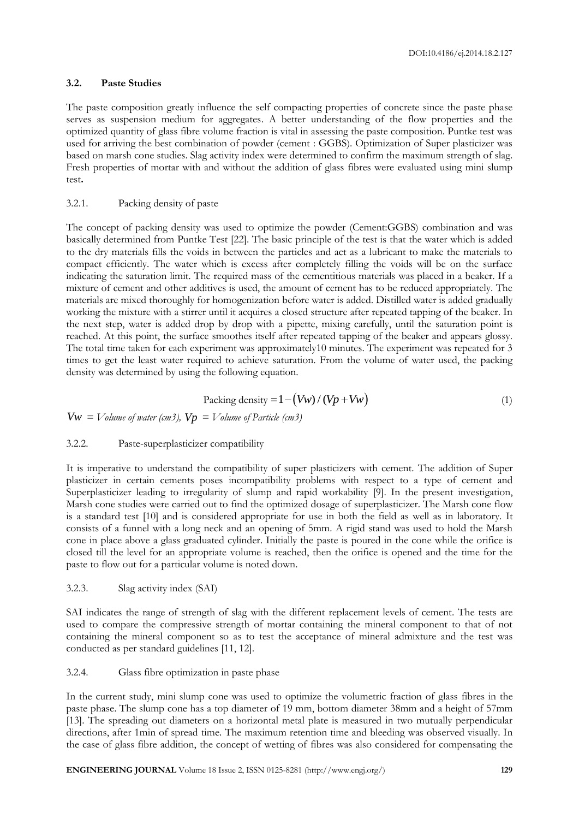#### **3.2. Paste Studies**

The paste composition greatly influence the self compacting properties of concrete since the paste phase serves as suspension medium for aggregates. A better understanding of the flow properties and the optimized quantity of glass fibre volume fraction is vital in assessing the paste composition. Puntke test was used for arriving the best combination of powder (cement : GGBS). Optimization of Super plasticizer was based on marsh cone studies. Slag activity index were determined to confirm the maximum strength of slag. Fresh properties of mortar with and without the addition of glass fibres were evaluated using mini slump test**.**

#### 3.2.1. Packing density of paste

The concept of packing density was used to optimize the powder (Cement:GGBS) combination and was basically determined from Puntke Test [22]. The basic principle of the test is that the water which is added to the dry materials fills the voids in between the particles and act as a lubricant to make the materials to compact efficiently. The water which is excess after completely filling the voids will be on the surface indicating the saturation limit. The required mass of the cementitious materials was placed in a beaker. If a mixture of cement and other additives is used, the amount of cement has to be reduced appropriately. The materials are mixed thoroughly for homogenization before water is added. Distilled water is added gradually working the mixture with a stirrer until it acquires a closed structure after repeated tapping of the beaker. In the next step, water is added drop by drop with a pipette, mixing carefully, until the saturation point is reached. At this point, the surface smoothes itself after repeated tapping of the beaker and appears glossy. The total time taken for each experiment was approximately10 minutes. The experiment was repeated for 3 times to get the least water required to achieve saturation. From the volume of water used, the packing density was determined by using the following equation.

$$
Packing density = 1 - (Vw) / (Vp + Vw)
$$
\n(1)

 $Vw =$  *Volume of water (cm3),*  $Vp =$  *Volume of Particle (cm3)* 

#### 3.2.2. Paste-superplasticizer compatibility

It is imperative to understand the compatibility of super plasticizers with cement. The addition of Super plasticizer in certain cements poses incompatibility problems with respect to a type of cement and Superplasticizer leading to irregularity of slump and rapid workability [9]. In the present investigation, Marsh cone studies were carried out to find the optimized dosage of superplasticizer. The Marsh cone flow is a standard test [10] and is considered appropriate for use in both the field as well as in laboratory. It consists of a funnel with a long neck and an opening of 5mm. A rigid stand was used to hold the Marsh cone in place above a glass graduated cylinder. Initially the paste is poured in the cone while the orifice is closed till the level for an appropriate volume is reached, then the orifice is opened and the time for the paste to flow out for a particular volume is noted down.

#### 3.2.3. Slag activity index (SAI)

SAI indicates the range of strength of slag with the different replacement levels of cement. The tests are used to compare the compressive strength of mortar containing the mineral component to that of not containing the mineral component so as to test the acceptance of mineral admixture and the test was conducted as per standard guidelines [11, 12].

#### 3.2.4. Glass fibre optimization in paste phase

In the current study, mini slump cone was used to optimize the volumetric fraction of glass fibres in the paste phase. The slump cone has a top diameter of 19 mm, bottom diameter 38mm and a height of 57mm [13]. The spreading out diameters on a horizontal metal plate is measured in two mutually perpendicular directions, after 1min of spread time. The maximum retention time and bleeding was observed visually. In the case of glass fibre addition, the concept of wetting of fibres was also considered for compensating the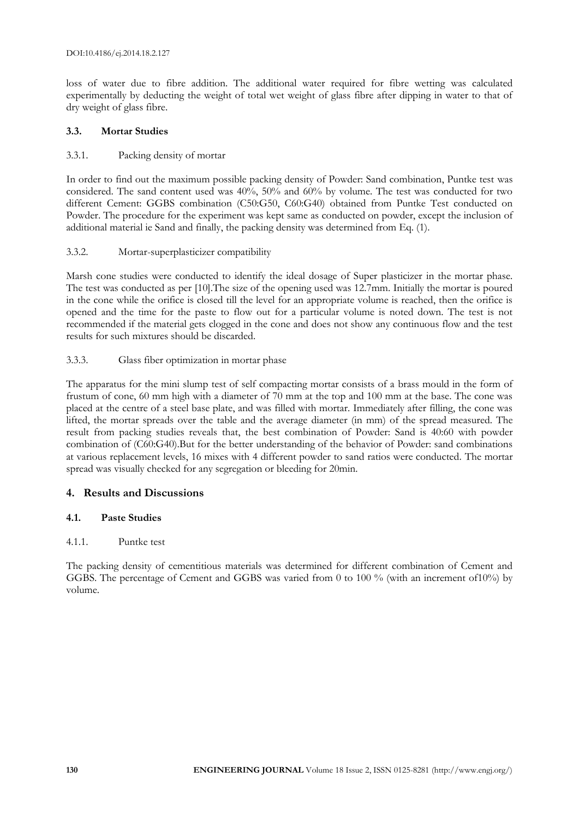loss of water due to fibre addition. The additional water required for fibre wetting was calculated experimentally by deducting the weight of total wet weight of glass fibre after dipping in water to that of dry weight of glass fibre.

#### **3.3. Mortar Studies**

# 3.3.1. Packing density of mortar

In order to find out the maximum possible packing density of Powder: Sand combination, Puntke test was considered. The sand content used was 40%, 50% and 60% by volume. The test was conducted for two different Cement: GGBS combination (C50:G50, C60:G40) obtained from Puntke Test conducted on Powder. The procedure for the experiment was kept same as conducted on powder, except the inclusion of additional material ie Sand and finally, the packing density was determined from Eq. (1).

# 3.3.2. Mortar-superplasticizer compatibility

Marsh cone studies were conducted to identify the ideal dosage of Super plasticizer in the mortar phase. The test was conducted as per [10].The size of the opening used was 12.7mm. Initially the mortar is poured in the cone while the orifice is closed till the level for an appropriate volume is reached, then the orifice is opened and the time for the paste to flow out for a particular volume is noted down. The test is not recommended if the material gets clogged in the cone and does not show any continuous flow and the test results for such mixtures should be discarded.

# 3.3.3. Glass fiber optimization in mortar phase

The apparatus for the mini slump test of self compacting mortar consists of a brass mould in the form of frustum of cone, 60 mm high with a diameter of 70 mm at the top and 100 mm at the base. The cone was placed at the centre of a steel base plate, and was filled with mortar. Immediately after filling, the cone was lifted, the mortar spreads over the table and the average diameter (in mm) of the spread measured. The result from packing studies reveals that, the best combination of Powder: Sand is 40:60 with powder combination of (C60:G40).But for the better understanding of the behavior of Powder: sand combinations at various replacement levels, 16 mixes with 4 different powder to sand ratios were conducted. The mortar spread was visually checked for any segregation or bleeding for 20min.

# **4. Results and Discussions**

#### **4.1. Paste Studies**

#### 4.1.1. Puntke test

The packing density of cementitious materials was determined for different combination of Cement and GGBS. The percentage of Cement and GGBS was varied from 0 to 100 % (with an increment of10%) by volume.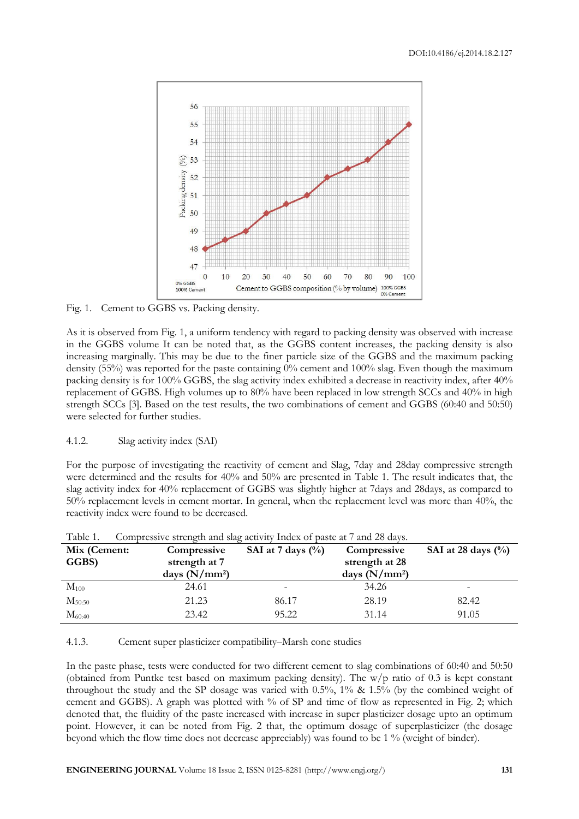

Fig. 1. Cement to GGBS vs. Packing density.

As it is observed from Fig. 1, a uniform tendency with regard to packing density was observed with increase in the GGBS volume It can be noted that, as the GGBS content increases, the packing density is also increasing marginally. This may be due to the finer particle size of the GGBS and the maximum packing density (55%) was reported for the paste containing 0% cement and 100% slag. Even though the maximum packing density is for 100% GGBS, the slag activity index exhibited a decrease in reactivity index, after 40% replacement of GGBS. High volumes up to 80% have been replaced in low strength SCCs and 40% in high strength SCCs [3]. Based on the test results, the two combinations of cement and GGBS (60:40 and 50:50) were selected for further studies.

#### 4.1.2. Slag activity index (SAI)

For the purpose of investigating the reactivity of cement and Slag, 7day and 28day compressive strength were determined and the results for 40% and 50% are presented in Table 1. The result indicates that, the slag activity index for 40% replacement of GGBS was slightly higher at 7days and 28days, as compared to 50% replacement levels in cement mortar. In general, when the replacement level was more than 40%, the reactivity index were found to be decreased.

| Mix (Cement: | Compressive                      | SAI at 7 days $(\%$ | Compressive                       | SAI at 28 days $(\% )$ |
|--------------|----------------------------------|---------------------|-----------------------------------|------------------------|
| GGBS)        | strength at 7<br>days $(N/mm^2)$ |                     | strength at 28<br>days $(N/mm^2)$ |                        |
| $M_{100}$    | 24.61                            |                     | 34.26                             |                        |
| $M_{50:50}$  | 21.23                            | 86.17               | 28.19                             | 82.42                  |
| $M_{60:40}$  | 23.42                            | 95.22               | 31.14                             | 91.05                  |

Table 1. Compressive strength and slag activity Index of paste at 7 and 28 days.

4.1.3. Cement super plasticizer compatibility–Marsh cone studies

In the paste phase, tests were conducted for two different cement to slag combinations of 60:40 and 50:50 (obtained from Puntke test based on maximum packing density). The  $w/p$  ratio of 0.3 is kept constant throughout the study and the SP dosage was varied with 0.5%, 1% & 1.5% (by the combined weight of cement and GGBS). A graph was plotted with % of SP and time of flow as represented in Fig. 2; which denoted that, the fluidity of the paste increased with increase in super plasticizer dosage upto an optimum point. However, it can be noted from Fig. 2 that, the optimum dosage of superplasticizer (the dosage beyond which the flow time does not decrease appreciably) was found to be 1 % (weight of binder).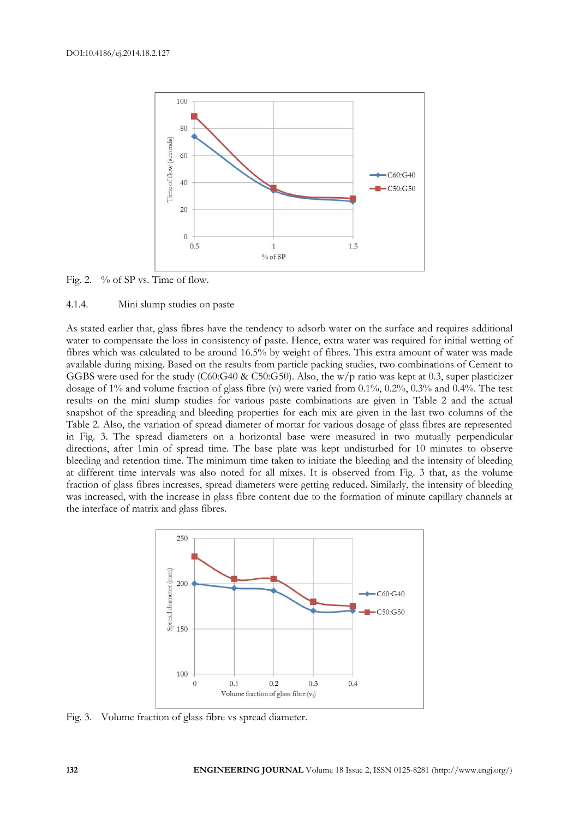

Fig. 2. % of SP vs. Time of flow.

#### 4.1.4. Mini slump studies on paste

As stated earlier that, glass fibres have the tendency to adsorb water on the surface and requires additional water to compensate the loss in consistency of paste. Hence, extra water was required for initial wetting of fibres which was calculated to be around 16.5% by weight of fibres. This extra amount of water was made available during mixing. Based on the results from particle packing studies, two combinations of Cement to GGBS were used for the study (C60:G40 & C50:G50). Also, the w/p ratio was kept at 0.3, super plasticizer dosage of 1% and volume fraction of glass fibre  $(v_f)$  were varied from 0.1%, 0.2%, 0.3% and 0.4%. The test results on the mini slump studies for various paste combinations are given in Table 2 and the actual snapshot of the spreading and bleeding properties for each mix are given in the last two columns of the Table 2. Also, the variation of spread diameter of mortar for various dosage of glass fibres are represented in Fig. 3. The spread diameters on a horizontal base were measured in two mutually perpendicular directions, after 1min of spread time. The base plate was kept undisturbed for 10 minutes to observe bleeding and retention time. The minimum time taken to initiate the bleeding and the intensity of bleeding at different time intervals was also noted for all mixes. It is observed from Fig. 3 that, as the volume fraction of glass fibres increases, spread diameters were getting reduced. Similarly, the intensity of bleeding was increased, with the increase in glass fibre content due to the formation of minute capillary channels at the interface of matrix and glass fibres.



Fig. 3. Volume fraction of glass fibre vs spread diameter.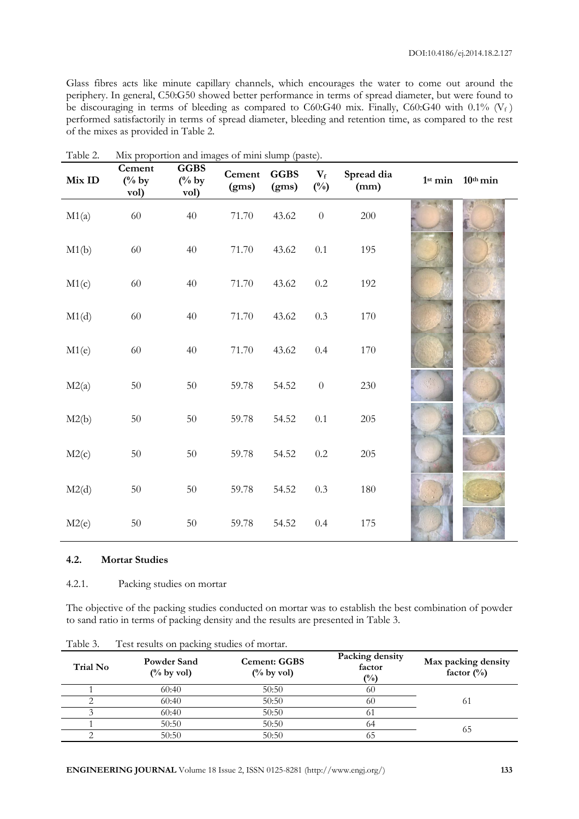Glass fibres acts like minute capillary channels, which encourages the water to come out around the periphery. In general, C50:G50 showed better performance in terms of spread diameter, but were found to be discouraging in terms of bleeding as compared to C60:G40 mix. Finally, C60:G40 with 0.1% ( $V_f$ ) performed satisfactorily in terms of spread diameter, bleeding and retention time, as compared to the rest of the mixes as provided in Table 2.

| Mix ID | Cement<br>$(^{0}/_{0}$ by<br>vol) | <b>GGBS</b><br>$(^{0}/_{0}$ by<br>vol) | Cement<br>(gms) | <b>GGBS</b><br>(gms) | $\mathbf{V_{f}}$<br>$(^{0}/_{0})$ | Spread dia<br>(mm) | 1 <sup>st</sup> min | $10^{\text{th}}$ min |
|--------|-----------------------------------|----------------------------------------|-----------------|----------------------|-----------------------------------|--------------------|---------------------|----------------------|
| M1(a)  | 60                                | 40                                     | 71.70           | 43.62                | $\boldsymbol{0}$                  | 200                |                     |                      |
| M1(b)  | $60\,$                            | 40                                     | 71.70           | 43.62                | $0.1\,$                           | 195                |                     |                      |
| M1(c)  | 60                                | 40                                     | 71.70           | 43.62                | $0.2\,$                           | 192                |                     |                      |
| M1(d)  | 60                                | 40                                     | 71.70           | 43.62                | $0.3\,$                           | 170                |                     |                      |
| M1(e)  | 60                                | 40                                     | 71.70           | 43.62                | 0.4                               | 170                |                     |                      |
| M2(a)  | $50\,$                            | $50\,$                                 | 59.78           | 54.52                | $\boldsymbol{0}$                  | $230\,$            |                     |                      |
| M2(b)  | $50\,$                            | $50\,$                                 | 59.78           | 54.52                | $0.1\,$                           | $205\,$            |                     |                      |
| M2(c)  | 50                                | $50\,$                                 | 59.78           | 54.52                | $0.2\,$                           | 205                |                     |                      |
| M2(d)  | $50\,$                            | $50\,$                                 | 59.78           | 54.52                | 0.3                               | 180                |                     |                      |
| M2(e)  | $50\,$                            | $50\,$                                 | 59.78           | 54.52                | 0.4                               | 175                |                     |                      |

| Table 2. |  |  | Mix proportion and images of mini slump (paste). |  |  |  |  |
|----------|--|--|--------------------------------------------------|--|--|--|--|
|----------|--|--|--------------------------------------------------|--|--|--|--|

#### **4.2. Mortar Studies**

4.2.1. Packing studies on mortar

The objective of the packing studies conducted on mortar was to establish the best combination of powder to sand ratio in terms of packing density and the results are presented in Table 3.

| Trial No | <b>Powder Sand</b><br>$(\%$ by vol) | <b>Cement: GGBS</b><br>$(\%$ by vol) | Packing density<br>factor<br>$\binom{0}{0}$ | Max packing density<br>factor $(\%)$ |
|----------|-------------------------------------|--------------------------------------|---------------------------------------------|--------------------------------------|
|          | 60:40                               | 50:50                                | 60                                          |                                      |
|          | 60:40                               | 50:50                                | 60                                          | 61                                   |
|          | 60:40                               | 50:50                                | $\sigma$                                    |                                      |
|          | 50:50                               | 50:50                                | 64                                          | 65                                   |
|          | 50:50                               | 50:50                                |                                             |                                      |

Table 3. Test results on packing studies of mortar.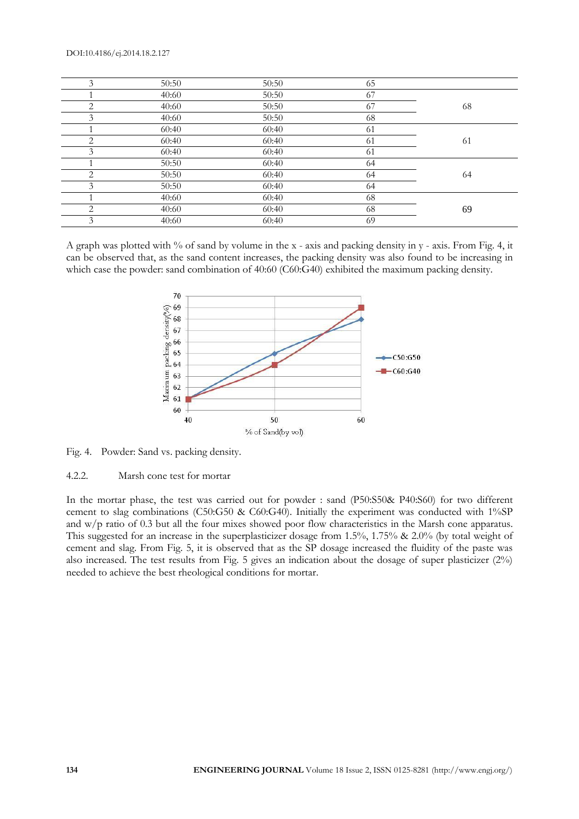#### DOI:10.4186/ej.2014.18.2.127

| 3              | 50:50 | 50:50 | 65 |    |
|----------------|-------|-------|----|----|
|                | 40:60 | 50:50 | 67 |    |
| 2              | 40:60 | 50:50 | 67 | 68 |
| 3              | 40:60 | 50:50 | 68 |    |
|                | 60:40 | 60:40 | 61 |    |
| $\overline{2}$ | 60:40 | 60:40 | 61 | 61 |
| 3              | 60:40 | 60:40 | 61 |    |
|                | 50:50 | 60:40 | 64 |    |
| 2              | 50:50 | 60:40 | 64 | 64 |
| 3              | 50:50 | 60:40 | 64 |    |
|                | 40:60 | 60:40 | 68 |    |
| 2              | 40:60 | 60:40 | 68 | 69 |
| 3              | 40:60 | 60:40 | 69 |    |

A graph was plotted with % of sand by volume in the x - axis and packing density in y - axis. From Fig. 4, it can be observed that, as the sand content increases, the packing density was also found to be increasing in which case the powder: sand combination of 40:60 (C60:G40) exhibited the maximum packing density.



Fig. 4. Powder: Sand vs. packing density.

#### 4.2.2. Marsh cone test for mortar

In the mortar phase, the test was carried out for powder : sand (P50:S50& P40:S60) for two different cement to slag combinations (C50:G50 & C60:G40). Initially the experiment was conducted with 1%SP and w/p ratio of 0.3 but all the four mixes showed poor flow characteristics in the Marsh cone apparatus. This suggested for an increase in the superplasticizer dosage from 1.5%, 1.75% & 2.0% (by total weight of cement and slag. From Fig. 5, it is observed that as the SP dosage increased the fluidity of the paste was also increased. The test results from Fig. 5 gives an indication about the dosage of super plasticizer (2%) needed to achieve the best rheological conditions for mortar.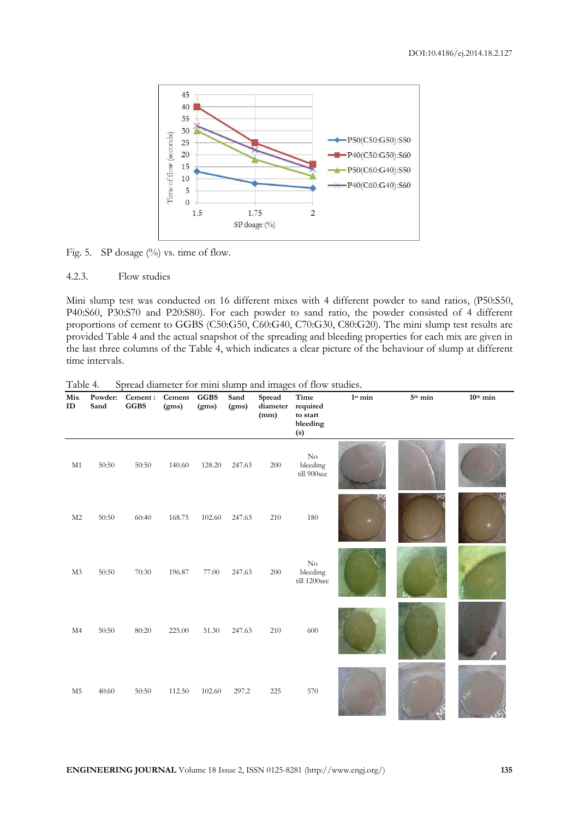

Fig. 5. SP dosage  $(\%)$  vs. time of flow.

#### 4.2.3. Flow studies

Mini slump test was conducted on 16 different mixes with 4 different powder to sand ratios, (P50:S50, P40:S60, P30:S70 and P20:S80). For each powder to sand ratio, the powder consisted of 4 different proportions of cement to GGBS (C50:G50, C60:G40, C70:G30, C80:G20). The mini slump test results are provided Table 4 and the actual snapshot of the spreading and bleeding properties for each mix are given in the last three columns of the Table 4, which indicates a clear picture of the behaviour of slump at different time intervals.

| Mix<br>ID      | Powder:<br>Sand | Cement:<br><b>GGBS</b> | Cement<br>(gms) | <b>GGBS</b><br>(gms) | Sand<br>(gms) | Spread<br>diameter<br>(mm) | Time<br>required<br>to start<br>bleeding<br>(s) | $1^{st}\min$ | 5 <sup>th</sup> min | 10 <sup>th</sup> min |
|----------------|-----------------|------------------------|-----------------|----------------------|---------------|----------------------------|-------------------------------------------------|--------------|---------------------|----------------------|
| M1             | 50:50           | 50:50                  | 140.60          | 128.20               | 247.63        | 200                        | $\rm No$<br>bleeding<br>till 900sec             |              |                     |                      |
| M <sub>2</sub> | 50:50           | 60:40                  | 168.75          | 102.60               | 247.63        | 210                        | 180                                             | MZ           | - 12                |                      |
| M3             | 50:50           | 70:30                  | 196.87          | 77.00                | 247.63        | 200                        | $\mathrm{No}$<br>bleeding<br>till 1200sec       |              |                     |                      |
| M <sub>4</sub> | 50:50           | 80:20                  | 225.00          | 51.30                | 247.63        | 210                        | 600                                             |              |                     |                      |
| $\rm M5$       | 40:60           | 50:50                  | 112.50          | 102.60               | 297.2         | 225                        | 570                                             |              |                     |                      |

Table 4. Spread diameter for mini slump and images of flow studies.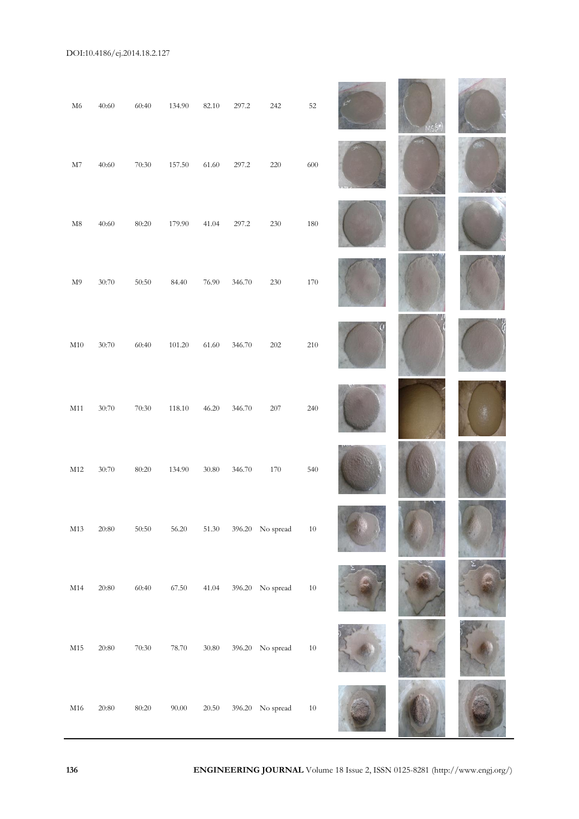# DOI:10.4186/ej.2014.18.2.127

| ${\rm M6}$    | 40:60     | 60:40          | 134.90    | 82.10     | 297.2  | 242              | 52      | MS(SM) |  |
|---------------|-----------|----------------|-----------|-----------|--------|------------------|---------|--------|--|
| $\rm M7$      | 40:60     | $70:30\,$      | 157.50    | 61.60     | 297.2  | $220\,$          | 600     |        |  |
| $\mathbf{M8}$ | 40:60     | 80:20          | 179.90    | 41.04     | 297.2  | $230\,$          | 180     |        |  |
| $\mathbf{M}9$ | 30:70     | 50:50          | 84.40     | $76.90\,$ | 346.70 | $230\,$          | $170\,$ |        |  |
| $\rm M10$     | 30:70     | 60:40          | 101.20    | 61.60     | 346.70 | $202\,$          | $210\,$ |        |  |
| M11           | 30:70     | 70:30          | 118.10    | 46.20     | 346.70 | 207              | 240     |        |  |
| $\rm M12$     | 30:70     | 80:20          | 134.90    | 30.80     | 346.70 | 170              | 540     |        |  |
| $\rm M13$     | $20:80\,$ | 50:50          | 56.20     | $51.30\,$ |        | 396.20 No spread | $10\,$  |        |  |
| M14           | 20:80     | 60:40          | 67.50     | 41.04     |        | 396.20 No spread | $10\,$  |        |  |
| $\rm M15$     | 20:80     | 70:30          | 78.70     | $30.80\,$ |        | 396.20 No spread | $10\,$  |        |  |
| $\rm M16$     | 20:80     | $80\text{:}20$ | $90.00\,$ | $20.50\,$ |        | 396.20 No spread | $10\,$  |        |  |

**136 ENGINEERING JOURNAL** Volume 18 Issue 2, ISSN 0125-8281 (http://www.engj.org/)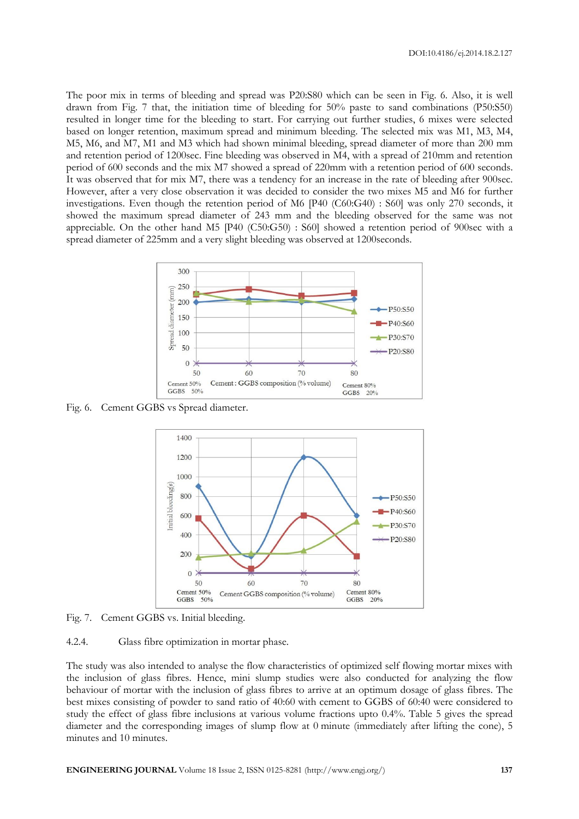The poor mix in terms of bleeding and spread was P20:S80 which can be seen in Fig. 6. Also, it is well drawn from Fig. 7 that, the initiation time of bleeding for 50% paste to sand combinations (P50:S50) resulted in longer time for the bleeding to start. For carrying out further studies, 6 mixes were selected based on longer retention, maximum spread and minimum bleeding. The selected mix was M1, M3, M4, M5, M6, and M7, M1 and M3 which had shown minimal bleeding, spread diameter of more than 200 mm and retention period of 1200sec. Fine bleeding was observed in M4, with a spread of 210mm and retention period of 600 seconds and the mix M7 showed a spread of 220mm with a retention period of 600 seconds. It was observed that for mix M7, there was a tendency for an increase in the rate of bleeding after 900sec. However, after a very close observation it was decided to consider the two mixes M5 and M6 for further investigations. Even though the retention period of M6 [P40 (C60:G40) : S60] was only 270 seconds, it showed the maximum spread diameter of 243 mm and the bleeding observed for the same was not appreciable. On the other hand M5 [P40 (C50:G50) : S60] showed a retention period of 900sec with a spread diameter of 225mm and a very slight bleeding was observed at 1200seconds.



Fig. 6. Cement GGBS vs Spread diameter.



Fig. 7. Cement GGBS vs. Initial bleeding.

4.2.4. Glass fibre optimization in mortar phase.

The study was also intended to analyse the flow characteristics of optimized self flowing mortar mixes with the inclusion of glass fibres. Hence, mini slump studies were also conducted for analyzing the flow behaviour of mortar with the inclusion of glass fibres to arrive at an optimum dosage of glass fibres. The best mixes consisting of powder to sand ratio of 40:60 with cement to GGBS of 60:40 were considered to study the effect of glass fibre inclusions at various volume fractions upto 0.4%. Table 5 gives the spread diameter and the corresponding images of slump flow at 0 minute (immediately after lifting the cone), 5 minutes and 10 minutes.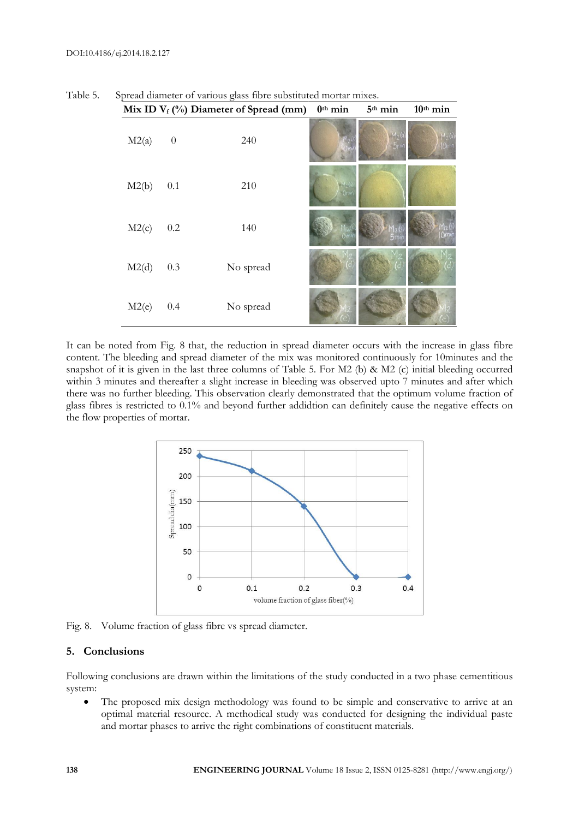|       |          | Mix ID $V_f$ (%) Diameter of Spread (mm) | $0^{\text{th}}$ min | 5 <sup>th</sup> min | 10 <sup>th</sup> min |
|-------|----------|------------------------------------------|---------------------|---------------------|----------------------|
| M2(a) | $\theta$ | 240                                      |                     |                     |                      |
| M2(b) | 0.1      | 210                                      | 100<br>Omin         |                     |                      |
| M2(c) | $0.2\,$  | 140                                      |                     |                     |                      |
| M2(d) | 0.3      | No spread                                |                     |                     |                      |
| M2(e) | 0.4      | No spread                                |                     |                     |                      |

Table 5. Spread diameter of various glass fibre substituted mortar mixes.

It can be noted from Fig. 8 that, the reduction in spread diameter occurs with the increase in glass fibre content. The bleeding and spread diameter of the mix was monitored continuously for 10minutes and the snapshot of it is given in the last three columns of Table 5. For M2 (b) & M2 (c) initial bleeding occurred within 3 minutes and thereafter a slight increase in bleeding was observed upto 7 minutes and after which there was no further bleeding. This observation clearly demonstrated that the optimum volume fraction of glass fibres is restricted to 0.1% and beyond further addidtion can definitely cause the negative effects on the flow properties of mortar.



Fig. 8. Volume fraction of glass fibre vs spread diameter.

#### **5. Conclusions**

Following conclusions are drawn within the limitations of the study conducted in a two phase cementitious system:

 The proposed mix design methodology was found to be simple and conservative to arrive at an optimal material resource. A methodical study was conducted for designing the individual paste and mortar phases to arrive the right combinations of constituent materials.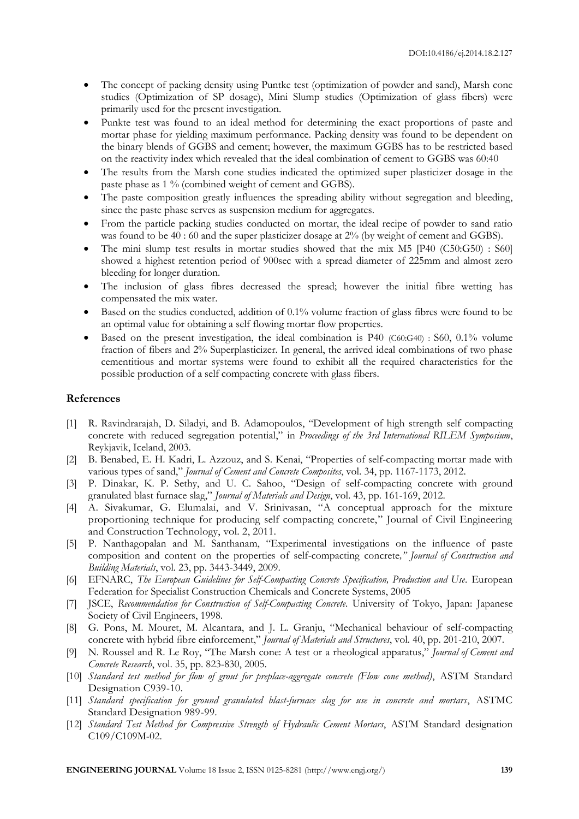- The concept of packing density using Puntke test (optimization of powder and sand), Marsh cone studies (Optimization of SP dosage), Mini Slump studies (Optimization of glass fibers) were primarily used for the present investigation.
- Punkte test was found to an ideal method for determining the exact proportions of paste and mortar phase for yielding maximum performance. Packing density was found to be dependent on the binary blends of GGBS and cement; however, the maximum GGBS has to be restricted based on the reactivity index which revealed that the ideal combination of cement to GGBS was 60:40
- The results from the Marsh cone studies indicated the optimized super plasticizer dosage in the paste phase as 1 % (combined weight of cement and GGBS).
- The paste composition greatly influences the spreading ability without segregation and bleeding, since the paste phase serves as suspension medium for aggregates.
- From the particle packing studies conducted on mortar, the ideal recipe of powder to sand ratio was found to be 40 : 60 and the super plasticizer dosage at 2% (by weight of cement and GGBS).
- The mini slump test results in mortar studies showed that the mix M5 [P40 (C50:G50) : S60] showed a highest retention period of 900sec with a spread diameter of 225mm and almost zero bleeding for longer duration.
- The inclusion of glass fibres decreased the spread; however the initial fibre wetting has compensated the mix water.
- Based on the studies conducted, addition of 0.1% volume fraction of glass fibres were found to be an optimal value for obtaining a self flowing mortar flow properties.
- Based on the present investigation, the ideal combination is P40 (C60:G40) : S60, 0.1% volume fraction of fibers and 2% Superplasticizer. In general, the arrived ideal combinations of two phase cementitious and mortar systems were found to exhibit all the required characteristics for the possible production of a self compacting concrete with glass fibers.

#### **References**

- [1] R. Ravindrarajah, D. Siladyi, and B. Adamopoulos, "Development of high strength self compacting concrete with reduced segregation potential," in *Proceedings of the 3rd International RILEM Symposium*, Reykjavik, Iceland, 2003.
- [2] B. Benabed, E. H. Kadri, L. Azzouz, and S. Kenai, "Properties of self-compacting mortar made with various types of sand," *Journal of Cement and Concrete Composites*, vol. 34, pp. 1167-1173, 2012.
- [3] P. Dinakar, K. P. Sethy, and U. C. Sahoo, "Design of self-compacting concrete with ground granulated blast furnace slag," *Journal of Materials and Design*, vol. 43, pp. 161-169, 2012.
- [4] A. Sivakumar, G. Elumalai, and V. Srinivasan, "A conceptual approach for the mixture proportioning technique for producing self compacting concrete," Journal of Civil Engineering and Construction Technology, vol. 2, 2011.
- [5] P. Nanthagopalan and M. Santhanam, "Experimental investigations on the influence of paste composition and content on the properties of self-compacting concrete*," Journal of Construction and Building Materials*, vol. 23, pp. 3443-3449, 2009.
- [6] EFNARC, *The European Guidelines for Self-Compacting Concrete Specification, Production and Use*. European Federation for Specialist Construction Chemicals and Concrete Systems, 2005
- [7] JSCE, *Recommendation for Construction of Self-Compacting Concrete*. University of Tokyo, Japan: Japanese Society of Civil Engineers, 1998.
- [8] G. Pons, M. Mouret, M. Alcantara, and J. L. Granju, "Mechanical behaviour of self-compacting concrete with hybrid fibre einforcement," *Journal of Materials and Structures*, vol. 40, pp. 201-210, 2007.
- [9] N. Roussel and R. Le Roy, "The Marsh cone: A test or a rheological apparatus," *Journal of Cement and Concrete Research*, vol. 35, pp. 823-830, 2005.
- [10] *Standard test method for flow of grout for preplace-aggregate concrete (Flow cone method)*, ASTM Standard Designation C939-10.
- [11] *Standard specification for ground granulated blast-furnace slag for use in concrete and mortars*, ASTMC Standard Designation 989-99.
- [12] *Standard Test Method for Compressive Strength of Hydraulic Cement Mortars*, ASTM Standard designation C109/C109M-02.